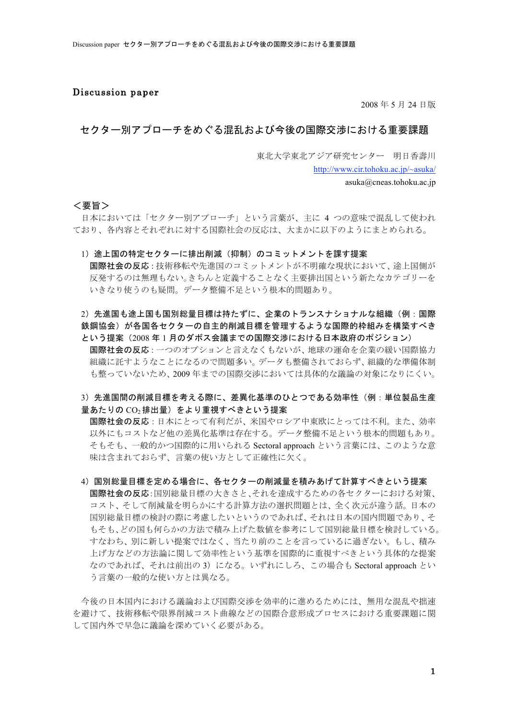### Discussion paper

2008年5月24日版

## セクター別アプローチをめぐる混乱および今後の国際交渉における重要課題

東北大学東北アジア研究センター 明日香壽川

http://www.cir.tohoku.ac.jp/~asuka/ asuka@cneas.tohoku.ac.jp

<要旨>

日本においては「セクター別アプローチ」という言葉が、主に 4 つの意味で混乱して使われ ており、各内容とそれぞれに対する国際社会の反応は、大まかに以下のようにまとめられる。

1) 途上国の特定セクターに排出削減(抑制)のコミットメントを課す提案

国際社会の反応:技術移転や先進国のコミットメントが不明確な現状において、途上国側が 反発するのは無理もない。きちんと定義することなく主要排出国という新たなカテゴリーを いきなり使うのも疑問。データ整備不足という根本的問題あり。

2) 先進国も途上国も国別総量目標は持たずに、企業のトランスナショナルな組織(例:国際 鉄鋼協会)が各国各セクターの自主的削減目標を管理するような国際的枠組みを構築すべき という提案 (2008年1月のダボス会議までの国際交渉における日本政府のポジション)

国際社会の反応: 一つのオプションと言えなくもないが、地球の運命を企業の緩い国際協力 組織に託すようなことになるので問題多い。データも整備されておらず、組織的な準備体制 も整っていないため、2009年までの国際交渉においては具体的な議論の対象になりにくい。

# 3) 先進国間の削減目標を考える際に、差異化基準のひとつである効率性(例:単位製品生産 量あたりの  $\rm CO_2$ 排出量)をより重視すべきという提案

国際社会の反応:日本にとって有利だが、米国やロシア中東欧にとっては不利。また、効率 以外にもコストなど他の差異化基準は存在する。データ整備不足という根本的問題もあり。 そもそも、一般的かつ国際的に用いられる Sectoral approach という言葉には、このような意 味は含まれておらず、言葉の使い方として正確性に欠く。

4)国別総量目標を定める場合に、各セクターの削減量を積みあげて計算すべきという提案 国際社会の反応:国別総量目標の大きさと、それを達成するための各セクターにおける対策、 コスト、そして削減量を明らかにする計算方法の選択問題とは、全く次元が違う話。日本の 国別総量目標の検討の際に考慮したいというのであれば、それは日本の国内問題であり、そ もそも、どの国も何らかの方法で積み上げた数値を参考にして国別総量目標を検討している。 すなわち、別に新しい提案ではなく、当たり前のことを言っているに過ぎない。もし、積み 上げ方などの方法論に関して効率性という基準を国際的に重視すべきという具体的な提案 なのであれば、それは前出の3)になる。いずれにしろ、この場合も Sectoral approach とい う言葉の一般的な使い方とは異なる。

今後の日本国内における議論および国際交渉を効率的に進めるためには、無用な混乱や拙速 を避けて、技術移転や限界削減コスト曲線などの国際合意形成プロセスにおける重要課題に関 して国内外で早急に議論を深めていく必要がある。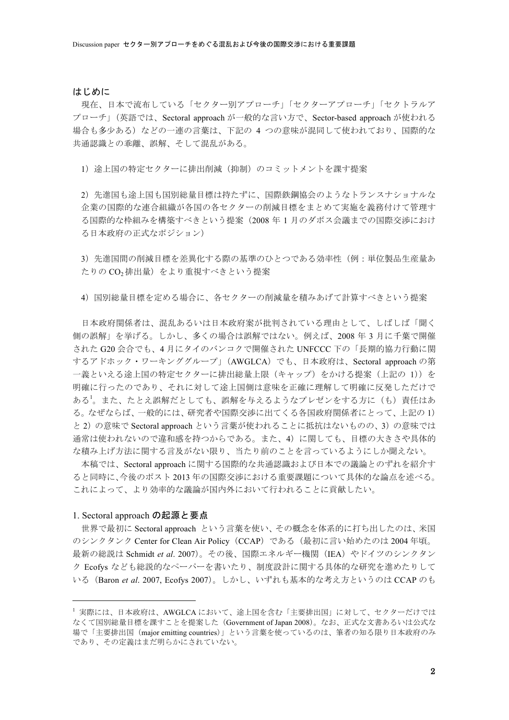### はじめに

現在、日本で流布している「セクター別アプローチ」「セクターアプローチ」「セクトラルア プローチ」(英語では、Sectoral approach が一般的な言い方で、Sector-based approach が使われる 場合も多少ある)などの一連の言葉は、下記の 4 つの意味が混同して使われており、国際的な 共通認識との乖離、誤解、そして混乱がある。

1) 途上国の特定セクターに排出削減(抑制)のコミットメントを課す提案

2) 先進国も途上国も国別総量目標は持たずに、国際鉄鋼協会のようなトランスナショナルな 企業の国際的な連合組織が各国の各セクターの削減目標をまとめて実施を義務付けて管理す る国際的な枠組みを構築すべきという提案 (2008年1月のダボス会議までの国際交渉におけ る日本政府の正式なポジション)

3) 先進国間の削減目標を差異化する際の基準のひとつである効率性(例:単位製品生産量あ たりの $CO<sub>2</sub>$ 排出量)をより重視すべきという提案

4) 国別総量目標を定める場合に、各セクターの削減量を積みあげて計算すべきという提案

日本政府関係者は、混乱あるいは日本政府案が批判されている理由として、しばしば「聞く 側の誤解」を挙げる。しかし、多くの場合は誤解ではない。例えば、2008年3月に千葉で開催 された G20 会合でも、4 月にタイのバンコクで開催された UNFCCC 下の「長期的協力行動に関 するアドホック・ワーキンググループ」(AWGLCA)でも、日本政府は、Sectoral approachの第 一義といえる途上国の特定セクターに排出総量上限 (キャップ) をかける提案 (上記の 1)) を 明確に行ったのであり、それに対して途上国側は意味を正確に理解して明確に反発しただけで ある<sup>1</sup>。また、たとえ誤解だとしても、誤解を与えるようなプレゼンをする方に(も)責任はあ る。なぜならば、一般的には、研究者や国際交渉に出てくる各国政府関係者にとって、上記の1) と2)の意味で Sectoral approach という言葉が使われることに抵抗はないものの、3)の意味では 通常は使われないので違和感を持つからである。また、4)に関しても、目標の大きさや具体的 な積み上げ方法に関する言及がない限り、当たり前のことを言っているようにしか聞えない。

本稿では、Sectoral approach に関する国際的な共通認識および日本での議論とのずれを紹介す ると同時に、今後のポスト2013年の国際交渉における重要課題について具体的な論点を述べる。 これによって、より効率的な議論が国内外において行われることに貢献したい。

#### 1. Sectoral approach の起源と要点

 $\overline{a}$ 

世界で最初に Sectoral approach という言葉を使い、その概念を体系的に打ち出したのは、米国 のシンクタンク Center for Clean Air Policy (CCAP) である(最初に言い始めたのは2004年頃。 最新の総説は Schmidt *et al.* 2007)。その後、国際エネルギー機関 (IEA) やドイツのシンクタン ク Ecofys なども総説的なペーパーを書いたり、制度設計に関する具体的な研究を進めたりして いる (Baron *et al.* 2007, Ecofys 2007)。しかし、いずれも基本的な考え方というのは CCAP のも

<sup>&</sup>lt;sup>1</sup>実際には、日本政府は、AWGLCA において、途上国を含む「主要排出国」に対して、セクターだけでは なくて国別総量目標を課すことを提案した (Government of Japan 2008)。なお、正式な文書あるいは公式な 場で「主要排出国(major emitting countries)」という言葉を使っているのは、筆者の知る限り日本政府のみ であり、その定義はまだ明らかにされていない。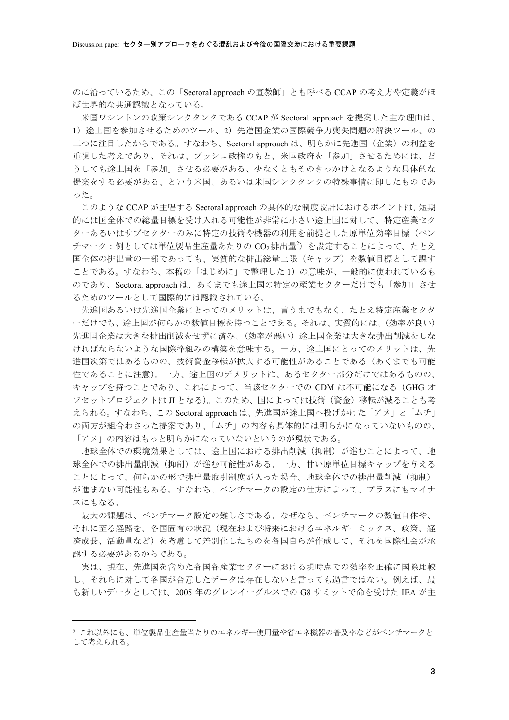のに沿っているため、この「Sectoral approach の宣教師」とも呼べる CCAP の考え方や定義がほ ぼ世界的な共通認識となっている。

米国ワシントンの政策シンクタンクである CCAP が Sectoral approach を提案した主な理由は、 1) 途上国を参加させるためのツール、2) 先進国企業の国際競争力喪失問題の解決ツール、の 二つに注目したからである。すなわち、Sectoral approach は、明らかに先進国(企業)の利益を 重視した考えであり、それは、ブッシュ政権のもと、米国政府を「参加」させるためには、ど うしても途上国を「参加」させる必要がある、少なくともそのきっかけとなるような具体的な 提案をする必要がある、という米国、あるいは米国シンクタンクの特殊事情に即したものであ った。

このような CCAP が主唱する Sectoral approach の具体的な制度設計におけるポイントは、短期 的には国全体での総量目標を受け入れる可能性が非常に小さい途上国に対して、特定産業セク ターあるいはサブセクターのみに特定の技術や機器の利用を前提とした原単位効率目標(ベン チマーク:例としては単位製品生産量あたりのCO<sub>2</sub>排出量2)を設定することによって、たとえ 国全体の排出量の一部であっても、実質的な排出総量上限(キャップ)を数値目標として課す ことである。すなわち、本稿の「はじめに」で整理した1)の意味が、一般的に使われているも のであり、Sectoral approach は、あくまでも途上国の特定の産業セクターだけでも「参加」させ るためのツールとして国際的には認識されている。

先進国あるいは先進国企業にとってのメリットは、言うまでもなく、たとえ特定産業セクタ ーだけでも、途上国が何らかの数値目標を持つことである。それは、実質的には、(効率が良い) 先進国企業は大きな排出削減をせずに済み、(効率が悪い)途上国企業は大きな排出削減をしな ければならないような国際枠組みの構築を意味する。一方、途上国にとってのメリットは、先 進国次第ではあるものの、技術資金移転が拡大する可能性があることである(あくまでも可能 性であることに注意)。一方、途上国のデメリットは、あるセクター部分だけではあるものの、 キャップを持つことであり、これによって、当該セクターでの CDM は不可能になる (GHG オ フセットプロジェクトは JI となる)。このため、国によっては技術 (資金) 移転が減ることも考 えられる。すなわち、この Sectoral approach は、先進国が途上国へ投げかけた「アメ」と「ムチ」 の両方が組合わさった提案であり、「ムチ」の内容も具体的には明らかになっていないものの、 「アメ」の内容はもっと明らかになっていないというのが現状である。

地球全体での環境効果としては、途上国における排出削減(抑制)が進むことによって、地 球全体での排出量削減(抑制)が進む可能性がある。一方、甘い原単位目標キャップを与える ことによって、何らかの形で排出量取引制度が入った場合、地球全体での排出量削減(抑制) が進まない可能性もある。すなわち、ベンチマークの設定の仕方によって、プラスにもマイナ スにもなる。

最大の課題は、ベンチマーク設定の難しさである。なぜなら、ベンチマークの数値自体や、 それに至る経路を、各国固有の状況(現在および将来におけるエネルギーミックス、政策、経 済成長、活動量など)を考慮して差別化したものを各国自らが作成して、それを国際社会が承 認する必要があるからである。

実は、現在、先進国を含めた各国各産業セクターにおける現時点での効率を正確に国際比較 し、それらに対して各国が合意したデータは存在しないと言っても過言ではない。例えば、最 も新しいデータとしては、2005年のグレンイーグルスでの G8 サミットで命を受けた IEA が主

<sup>2</sup> これ以外にも、単位製品生産量当たりのエネルギー使用量や省エネ機器の普及率などがベンチマークと して考えられる。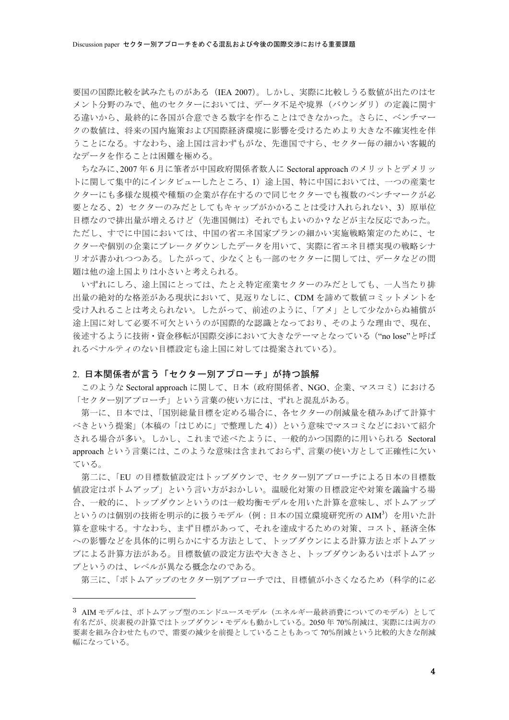要国の国際比較を試みたものがある (IEA 2007)。しかし、実際に比較しうる数値が出たのはセ メント分野のみで、他のセクターにおいては、データ不足や境界(バウンダリ)の定義に関す る違いから、最終的に各国が合意できる数字を作ることはできなかった。さらに、ベンチマー クの数値は、将来の国内施策および国際経済環境に影響を受けるためより大きな不確実性を伴 うことになる。すなわち、途上国は言わずもがな、先進国ですら、セクター毎の細かい客観的 なデータを作ることは困難を極める。

ちなみに、2007年6月に筆者が中国政府関係者数人に Sectoral approach のメリットとデメリッ トに関して集中的にインタビューしたところ、1)途上国、特に中国においては、一つの産業セ クターにも多様な規模や種類の企業が存在するので同じセクターでも複数のベンチマークが必 要となる、2) セクターのみだとしてもキャップがかかることは受け入れられない、3) 原単位 目標なので排出量が増えるけど(先進国側は)それでもよいのか?などが主な反応であった。 ただし、すでに中国においては、中国の省エネ国家プランの細かい実施戦略策定のために、セ クターや個別の企業にブレークダウンしたデータを用いて、実際に省エネ目標実現の戦略シナ リオが書かれつつある。したがって、少なくとも一部のセクターに関しては、データなどの間 題は他の途上国よりは小さいと考えられる。

いずれにしろ、途上国にとっては、たとえ特定産業セクターのみだとしても、一人当たり排 出量の絶対的な格差がある現状において、見返りなしに、CDMを諦めて数値コミットメントを 受け入れることは考えられない。したがって、前述のように、「アメ」として少なからぬ補償が 途上国に対して必要不可欠というのが国際的な認識となっており、そのような理由で、現在、 後述するように技術・資金移転が国際交渉において大きなテーマとなっている ("nolose"と呼ば れるペナルティのない目標設定も途上国に対しては提案されている)。

#### 2. 日本関係者が言う「セクター別アプローチ」が持つ誤解

このような Sectoral approach に関して、日本(政府関係者、NGO、企業、マスコミ)における 「セクター別アプローチ」という言葉の使い方には、ずれと混乱がある。

第一に、日本では、「国別総量目標を定める場合に、各セクターの削減量を積みあげて計算す べきという提案」(本稿の「はじめに」で整理した4))という意味でマスコミなどにおいて紹介 される場合が多い。しかし、これまで述べたように、一般的かつ国際的に用いられる Sectoral approach という言葉には、このような意味は含まれておらず、言葉の使い方として正確性に欠い ている。

第二に、「EU の目標数値設定はトップダウンで、セクター別アプローチによる日本の目標数 値設定はボトムアップ」という言い方がおかしい。温暖化対策の目標設定や対策を議論する場 合、一般的に、トップダウンというのは一般均衡モデルを用いた計算を意味し、ボトムアップ というのは個別の技術を明示的に扱うモデル(例:日本の国立環境研究所のAIM3)を用いた計 算を意味する。すなわち、まず目標があって、それを達成するための対策、コスト、経済全体 への影響などを具体的に明らかにする方法として、トップダウンによる計算方法とボトムアッ プによる計算方法がある。目標数値の設定方法や大きさと、トップダウンあるいはボトムアッ プというのは、レベルが異なる概念なのである。

第三に、「ボトムアップのセクター別アプローチでは、目標値が小さくなるため(科学的に必

 $^3$  AIM モデルは、ボトムアップ型のエンドユースモデル(エネルギー最終消費についてのモデル)として 有名だが、炭素税の計算ではトップダウン・モデルも動かしている。2050年70%削減は、実際には両方の 要素を組み合わせたもので、需要の減少を前提としていることもあって70%削減という比較的大きな削減 幅になっている。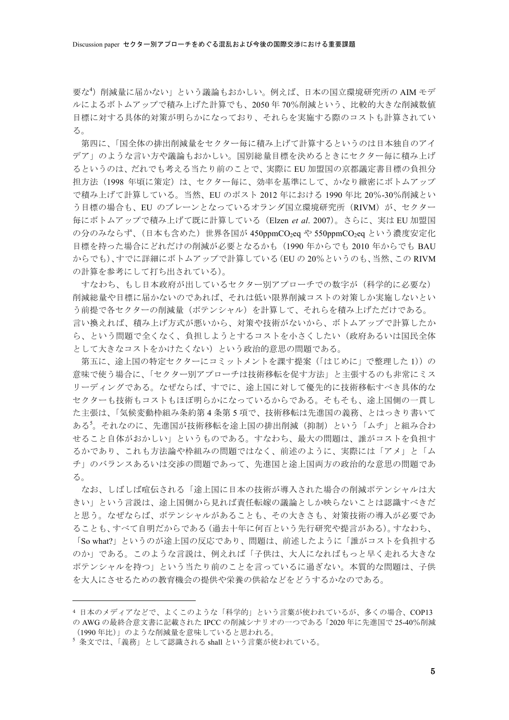要な<sup>4</sup>) 削減量に届かない」という議論もおかしい。例えば、日本の国立環境研究所の AIM モデ ルによるボトムアップで積み上げた計算でも、2050年70%削減という、比較的大きな削減数値 目標に対する具体的対策が明らかになっており、それらを実施する際のコストも計算されてい  $\mathcal{Z}_{\alpha}$ 

第四に、「国全体の排出削減量をセクター毎に積み上げて計算するというのは日本独自のアイ デア」のような言い方や議論もおかしい。国別総量目標を決めるときにセクター毎に積み上げ るというのは、だれでも考える当たり前のことで、実際に EU 加盟国の京都議定書目標の負担分 担方法(1998年頃に策定)は、セクター毎に、効率を基準にして、かなり緻密にボトムアップ で積み上げて計算している。当然、EU のポスト 2012 年における 1990 年比 20%-30%削減とい う目標の場合も、EU のブレーンとなっているオランダ国立環境研究所 (RIVM) が、セクター 毎にボトムアップで積み上げて既に計算している (Elzen et al. 2007)。さらに、実は EU 加盟国 の分のみならず、(日本も含めた)世界各国が 450ppmCO<sub>2</sub>eq や 550ppmCO<sub>2</sub>eq という濃度安定化 目標を持った場合にどれだけの削減が必要となるかも (1990 年からでも 2010 年からでも BAU からでも)、すでに詳細にボトムアップで計算している(EUの20%というのも、当然、このRIVM の計算を参考にして打ち出されている)。

すなわち、もし日本政府が出しているセクター別アプローチでの数字が(科学的に必要な) 削減総量や目標に届かないのであれば、それは低い限界削減コストの対策しか実施しないとい う前提で各セクターの削減量(ポテンシャル)を計算して、それらを積み上げただけである。 言い換えれば、積み上げ方式が悪いから、対策や技術がないから、ボトムアップで計算したか ら、という問題で全くなく、負担しようとするコストを小さくしたい(政府あるいは国民全体 として大きなコストをかけたくない)という政治的意思の問題である。

第五に、途上国の特定セクターにコミットメントを課す提案(「はじめに」で整理した 1))の 意味で使う場合に、「セクター別アプローチは技術移転を促す方法」と主張するのも非常にミス リーディングである。なぜならば、すでに、途上国に対して優先的に技術移転すべき具体的な セクターも技術もコストもほぼ明らかになっているからである。そもそも、途上国側の一貫し た主張は、「気候変動枠組み条約第4条第5項で、技術移転は先進国の義務、とはっきり書いて あるる。それなのに、先進国が技術移転を途上国の排出削減(抑制)という「ムチ」と組み合わ せること自体がおかしい」というものである。すなわち、最大の問題は、誰がコストを負担す るかであり、これも方法論や枠組みの問題ではなく、前述のように、実際には「アメ」と「ム チ」のバランスあるいは交渉の問題であって、先進国と途上国両方の政治的な意思の問題であ る。

なお、しばしば喧伝される「途上国に日本の技術が導入された場合の削減ポテンシャルは大 きい」という言説は、途上国側から見れば責任転嫁の議論としか映らないことは認識すべきだ と思う。なぜならば、ポテンシャルがあることも、その大きさも、対策技術の導入が必要であ ることも、すべて自明だからである(過去十年に何百という先行研究や提言がある)。すなわち、 「So what?」というのが途上国の反応であり、問題は、前述したように「誰がコストを負担する のか」である。このような言説は、例えれば「子供は、大人になればもっと早く走れる大きな ポテンシャルを持つ」という当たり前のことを言っているに過ぎない。本質的な問題は、子供 を大人にさせるための教育機会の提供や栄養の供給などをどうするかなのである。

 <sup>4</sup> ƜƯ4kML10.C4C1 ȞıȊ/ɭɛ¸IG-Fĥ4ĞúCOP13 の AWG の最終合意文書に記載された IPCC の削減シナリオの一つである「2020 年に先進国で 25-40%削減 (1990年比)」のような削減量を意味していると思われる。

 $^5$  条文では、「義務」として認識される shall という言葉が使われている。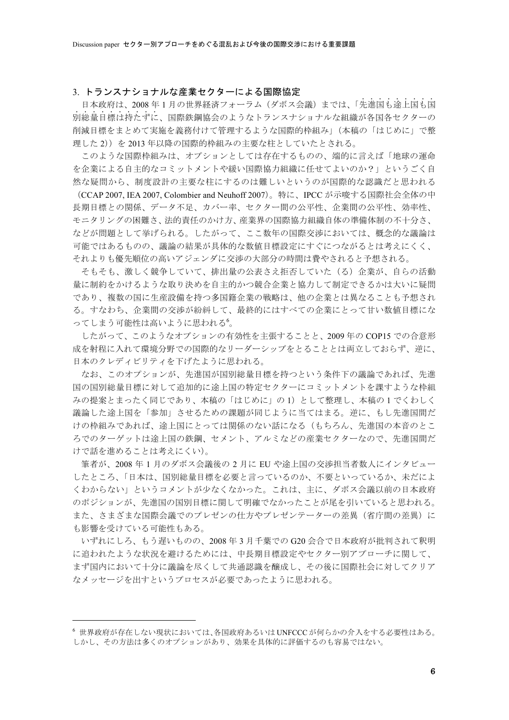### 3. トランスナショナルな産業セクターによる国際協定

日本政府は、2008年1月の世界経済フォーラム(ダボス会議)までは、「先進国も涂上国も国 別総量目標は持たずに、国際鉄鋼協会のようなトランスナショナルな組織が各国各セクターの 削減目標をまとめて実施を義務付けて管理するような国際的枠組み」(本稿の「はじめに」で整 理した2))を2013年以降の国際的枠組みの主要な柱としていたとされる。

このような国際枠組みは、オプションとしては存在するものの、端的に言えば「地球の運命 を企業による自主的なコミットメントや緩い国際協力組織に任せてよいのか?」というごく自 然な疑問から、制度設計の主要な柱にするのは難しいというのが国際的な認識だと思われる

(CCAP 2007, IEA 2007, Colombier and Neuhoff 2007)。特に、IPCC が示唆する国際社会全体の中 長期目標との関係、データ不足、カバー率、セクター間の公平性、企業間の公平性、効率性、 モニタリングの困難さ、法的責任のかけ方、産業界の国際協力組織自体の準備体制の不十分さ、 などが問題として挙げられる。したがって、ここ数年の国際交渉においては、概念的な議論は 可能ではあるものの、議論の結果が具体的な数値目標設定にすぐにつながるとは考えにくく、 それよりも優先順位の高いアジェンダに交渉の大部分の時間は費やされると予想される。

そもそも、激しく競争していて、排出量の公表さえ拒否していた(る)企業が、自らの活動 量に制約をかけるような取り決めを自主的かつ競合企業と協力して制定できるかは大いに疑問 であり、複数の国に生産設備を持つ多国籍企業の戦略は、他の企業とは異なることも予想され る。すなわち、企業間の交渉が紛糾して、最終的にはすべての企業にとって甘い数値目標にな ってしまう可能性は高いように思われる<sup>6</sup>。

したがって、このようなオプションの有効性を主張することと、2009年の COP15 での合意形 成を射程に入れて環境分野での国際的なリーダーシップをとることとは両立しておらず、逆に、 日本のクレディビリティを下げたように思われる。

なお、このオプションが、先進国が国別総量目標を持つという条件下の議論であれば、先進 国の国別総量目標に対して追加的に途上国の特定セクターにコミットメントを課すような枠組 みの提案とまったく同じであり、本稿の「はじめに」の1)として整理し、本稿の1でくわしく 議論した途上国を「参加」させるための課題が同じように当てはまる。逆に、もし先進国間だ けの枠組みであれば、途上国にとっては関係のない話になる(もちろん、先進国の本音のとこ ろでのターゲットは途上国の鉄鋼、セメント、アルミなどの産業セクターなので、先進国間だ けで話を進めることは考えにくい)。

筆者が、2008年1月のダボス会議後の2月に EU や途上国の交渉担当者数人にインタビュー したところ、「日本は、国別総量目標を必要と言っているのか、不要といっているか、未だによ くわからない」というコメントが少なくなかった。これは、主に、ダボス会議以前の日本政府 のポジションが、先進国の国別目標に関して明確でなかったことが尾を引いていると思われる。 また、さまざまな国際会議でのプレゼンの仕方やプレゼンテーターの差異(省庁間の差異)に も影響を受けている可能性もある。

いずれにしろ、もう遅いものの、2008年3月千葉での G20 会合で日本政府が批判されて釈明 に追われたような状況を避けるためには、中長期目標設定やセクター別アプローチに関して、 まず国内において十分に議論を尽くして共通認識を醸成し、その後に国際社会に対してクリア なメッセージを出すというプロセスが必要であったように思われる。

<sup>6</sup>世界政府が存在しない現状においては、各国政府あるいはUNFCCCが何らかの介入をする必要性はある。 しかし、その方法は多くのオプションがあり、効果を具体的に評価するのも容易ではない。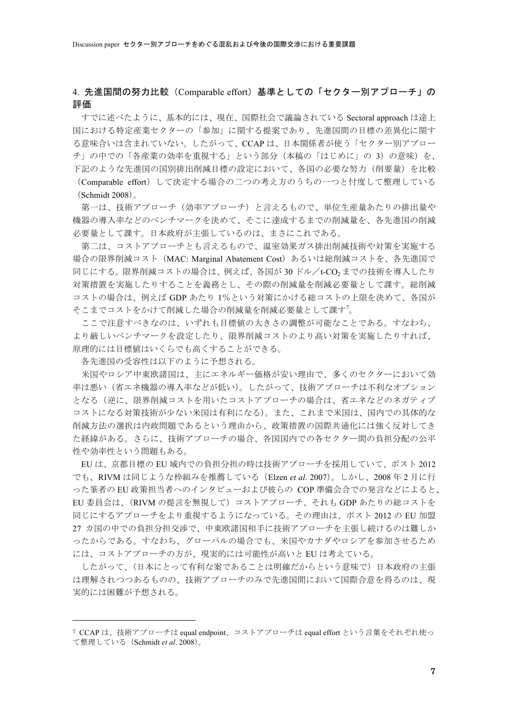## 4. 先進国間の努力比較(Comparable effort)基準としての「セクター別アプローチ」の 評価

すでに述べたように、基本的には、現在、国際社会で議論されている Sectoral approach は途上 国における特定産業セクターの「参加」に関する提案であり、先進国間の目標の差異化に関す る意味合いは含まれていない。したがって、CCAPは、日本関係者が使う「セクター別アプロー チ」の中での「各産業の効率を重視する」という部分(本稿の「はじめに」の 3)の意味)を、 下記のような先進国の国別排出削減目標の設定において、各国の必要な努力(削要量)を比較 (Comparable effort) して決定する場合の二つの考え方のうちの一つと忖度して整理している

 $(Schmidt 2008)$ 

第一は、技術アプローチ(効率アプローチ)と言えるもので、単位生産量あたりの排出量や 機器の導入率などのベンチマークを決めて、そこに達成するまでの削減量を、各先進国の削減 必要量として課す。日本政府が主張しているのは、まさにこれである。

第二は、コストアプローチとも言えるもので、温室効果ガス排出削減技術や対策を実施する 場合の限界削減コスト (MAC: Marginal Abatement Cost) あるいは総削減コストを、各先進国で 同じにする。限界削減コストの場合は、例えば、各国が30ドル/t-CO2までの技術を導入したり 対策措置を実施したりすることを義務とし、その際の削減量を削減必要量として課す。総削減 コストの場合は、例えば GDP あたり 1%という対策にかける総コストの上限を決めて、各国が そこまでコストをかけて削減した場合の削減量を削減必要量として課す<sup>7</sup>。

ここで注意すべきなのは、いずれも目標値の大きさの調整が可能なことである。すなわち、 より厳しいベンチマークを設定したり、限界削減コストのより高い対策を実施したりすれば、 原理的には目標値はいくらでも高くすることができる。

各先進国の受容性は以下のように予想される。

米国やロシア中東欧諸国は、主にエネルギー価格が安い理由で、多くのセクターにおいて効 率は悪い(省エネ機器の導入率などが低い)。したがって、技術アプローチは不利なオプション となる(逆に、限界削減コストを用いたコストアプローチの場合は、省エネなどのネガティブ コストになる対策技術が少ない米国は有利になる)。また、これまで米国は、国内での具体的な 削減方法の選択は内政問題であるという理由から、政策措置の国際共通化には強く反対してき た経緯がある。さらに、技術アプローチの場合、各国国内での各セクター間の負担分配の公平 性や効率性という問題もある。

EUは、京都目標の EU 域内での負担分担の時は技術アプローチを採用していて、ポスト 2012 でも、RIVM は同じような枠組みを推薦している (Elzen et al. 2007)。しかし、2008年2月に行 った筆者のEU政策担当者へのインタビューおよび彼らの COP準備会合での発言などによると、 EU 委員会は、(RIVM の提言を無視して) コストアプローチ、それも GDP あたりの総コストを 同じにするアプローチをより重視するようになっている。その理由は、ポスト 2012 の EU 加盟 27 カ国の中での負担分担交渉で、中東欧諸国相手に技術アプローチを主張し続けるのは難しか ったからである。すなわち、グローバルの場合でも、米国やカナダやロシアを参加させるため には、コストアプローチの方が、現実的には可能性が高いと EU は考えている。

したがって、(日本にとって有利な案であることは明確だからという意味で)日本政府の主張 は理解されつつあるものの、技術アプローチのみで先進国間において国際合意を得るのは、現 実的には困難が予想される。

<sup>7</sup> CCAP は、技術アプローチは equal endpoint、コストアプローチは equal effort という言葉をそれぞれ使っ て整理している (Schmidt et al. 2008)。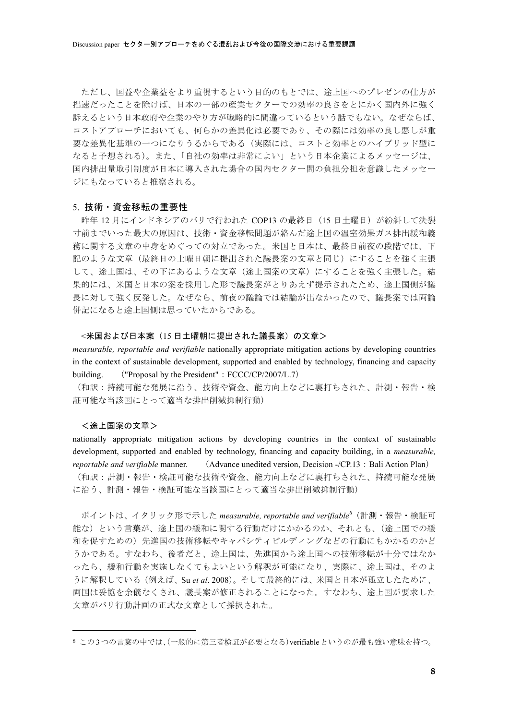ただし、国益や企業益をより重視するという目的のもとでは、途上国へのプレゼンの仕方が 拙速だったことを除けば、日本の一部の産業セクターでの効率の良さをとにかく国内外に強く 訴えるという日本政府や企業のやり方が戦略的に間違っているという話でもない。なぜならば、 コストアプローチにおいても、何らかの差異化は必要であり、その際には効率の良し悪しが重 要な差異化基準の一つになりうるからである(実際には、コストと効率とのハイブリッド型に なると予想される)。また、「自社の効率は非常によい」という日本企業によるメッセージは、 国内排出量取引制度が日本に導入された場合の国内セクター間の負担分担を意識したメッセー ジにもなっていると推察される。

### 5. 技術・資金移転の重要性

昨年12月にインドネシアのバリで行われた COP13 の最終日 (15日土曜日) が紛糾して決裂 寸前までいった最大の原因は、技術·資金移転問題が絡んだ途上国の温室効果ガス排出緩和義 務に関する文章の中身をめぐっての対立であった。米国と日本は、最終日前夜の段階では、下 記のような文章(最終日の土曜日朝に提出された議長案の文章と同じ)にすることを強く主張 して、途上国は、その下にあるような文章(途上国案の文章)にすることを強く主張した。結 果的には、米国と日本の案を採用した形で議長案がとりあえず提示されたため、途上国側が議 長に対して強く反発した。なぜなら、前夜の議論では結論が出なかったので、議長案では両論 併記になると途上国側は思っていたからである。

### <米国および日本案(15 日土曜朝に提出された議長案)の文章>

*measurable, reportable and verifiable* nationally appropriate mitigation actions by developing countries in the context of sustainable development, supported and enabled by technology, financing and capacity building. ("Proposal by the President": FCCC/CP/2007/L.7)

(和訳:持続可能な発展に沿う、技術や資金、能力向上などに裏打ちされた、計測·報告·検 証可能な当該国にとって適当な排出削減抑制行動)

### <途上国案の文章>

nationally appropriate mitigation actions by developing countries in the context of sustainable development, supported and enabled by technology, financing and capacity building, in a *measurable, reportable and verifiable* manner. (Advance unedited version, Decision -/CP.13 : Bali Action Plan)

(和訳:計測·報告·検証可能な技術や資金、能力向上などに裏打ちされた、持続可能な発展 に沿う、計測・報告・検証可能な当該国にとって適当な排出削減抑制行動)

ポイントは、イタリック形で示した measurable, reportable and verifiable<sup>8</sup>(計測・報告・検証可 能な)という言葉が、途上国の緩和に関する行動だけにかかるのか、それとも、(途上国での緩 和を促すための)先進国の技術移転やキャパシティビルディングなどの行動にもかかるのかど うかである。すなわち、後者だと、途上国は、先進国から途上国への技術移転が十分ではなか ったら、緩和行動を実施しなくてもよいという解釈が可能になり、実際に、途上国は、そのよ うに解釈している(例えば、Su et al. 2008)。そして最終的には、米国と日本が孤立したために、 両国は妥協を余儀なくされ、議長案が修正されることになった。すなわち、途上国が要求した 文章がバリ行動計画の正式な文章として採択された。

<sup>8</sup> この3つの言葉の中では、(一般的に第三者検証が必要となる) verifiable というのが最も強い意味を持つ。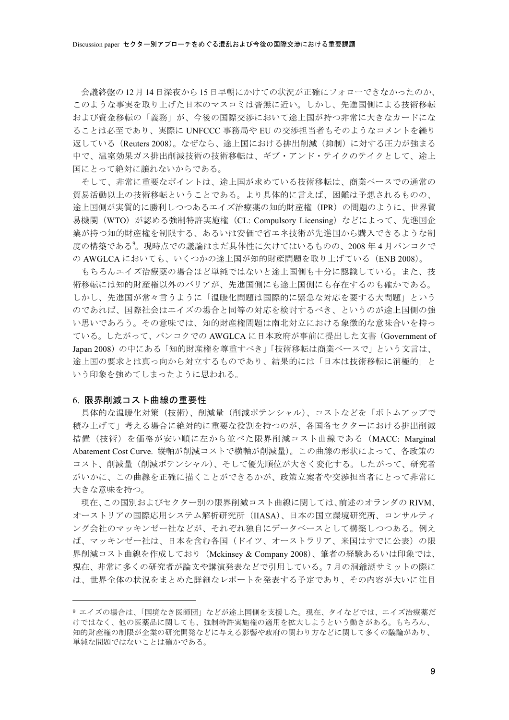会議終盤の12月14日深夜から15日早朝にかけての状況が正確にフォローできなかったのか、 このような事実を取り上げた日本のマスコミは皆無に近い。しかし、先進国側による技術移転 および資金移転の「義務」が、今後の国際交渉において涂上国が持つ非常に大きなカードにな ることは必至であり、実際に UNFCCC 事務局や EU の交渉担当者もそのようなコメントを繰り 返している (Reuters 2008)。なぜなら、途上国における排出削減(抑制)に対する圧力が強まる 中で、温室効果ガス排出削減技術の技術移転は、ギブ・アンド・テイクのテイクとして、涂上 国にとって絶対に譲れないからである。

そして、非常に重要なポイントは、途上国が求めている技術移転は、商業ベースでの通常の 貿易活動以上の技術移転ということである。より具体的に言えば、困難は予想されるものの、 途上国側が実質的に勝利しつつあるエイズ治療薬の知的財産権 (IPR) の問題のように、世界貿 易機関 (WTO) が認める強制特許実施権 (CL: Compulsory Licensing) などによって、先進国企 業が持つ知的財産権を制限する、あるいは安価で省エネ技術が先進国から購入できるような制 度の構築である<sup>9</sup>。現時点での議論はまだ具体性に欠けてはいるものの、2008年4月バンコクで の AWGLCA においても、いくつかの涂上国が知的財産問題を取り上げている (ENB 2008)。

もちろんエイズ治療薬の場合ほど単純ではないと途上国側も十分に認識している。また、技 術移転には知的財産権以外のバリアが、先進国側にも途上国側にも存在するのも確かである。 しかし、先進国が常々言うように「温暖化問題は国際的に緊急な対応を要する大問題」という のであれば、国際社会はエイズの場合と同等の対応を検討するべき、というのが途上国側の強 い思いであろう。その意味では、知的財産権問題は南北対立における象徴的な意味合いを持っ ている。したがって、バンコクでの AWGLCA に日本政府が事前に提出した文書 (Government of Japan 2008)の中にある「知的財産権を尊重すべき」「技術移転は商業ベースで」という文言は、 途上国の要求とは真っ向から対立するものであり、結果的には「日本は技術移転に消極的」と いう印象を強めてしまったように思われる。

### 6. 限界削減コスト曲線の重要性

具体的な温暖化対策(技術)、削減量(削減ポテンシャル)、コストなどを「ボトムアップで 積み上げて」考える場合に絶対的に重要な役割を持つのが、各国各セクターにおける排出削減 措置(技術)を価格が安い順に左から並べた限界削減コスト曲線である (MACC: Marginal Abatement Cost Curve. 縦軸が削減コストで横軸が削減量)。この曲線の形状によって、各政策の コスト、削減量(削減ポテンシャル)、そして優先順位が大きく変化する。したがって、研究者 がいかに、この曲線を正確に描くことができるかが、政策立案者や交渉担当者にとって非常に 大きな意味を持つ。

現在、この国別およびセクター別の限界削減コスト曲線に関しては、前述のオランダのRIVM、 オーストリアの国際応用システム解析研究所(IIASA)、日本の国立環境研究所、コンサルティ ング会社のマッキンゼー社などが、それぞれ独自にデータベースとして構築しつつある。例え ば、マッキンゼー社は、日本を含む各国(ドイツ、オーストラリア、米国はすでに公表)の限 界削減コスト曲線を作成しており(Mckinsey & Company 2008)、筆者の経験あるいは印象では、 現在、非常に多くの研究者が論文や講演発表などで引用している。7月の洞爺湖サミットの際に は、世界全体の状況をまとめた詳細なレポートを発表する予定であり、その内容が大いに注目

<sup>9</sup> エイズの場合は、「国境なき医師団」などが途上国側を支援した。現在、タイなどでは、エイズ治療薬だ けではなく、他の医薬品に関しても、強制特許実施権の適用を拡大しようという動きがある。もちろん、 知的財産権の制限が企業の研究開発などに与える影響や政府の関わり方などに関して多くの議論があり、 単純な問題ではないことは確かである。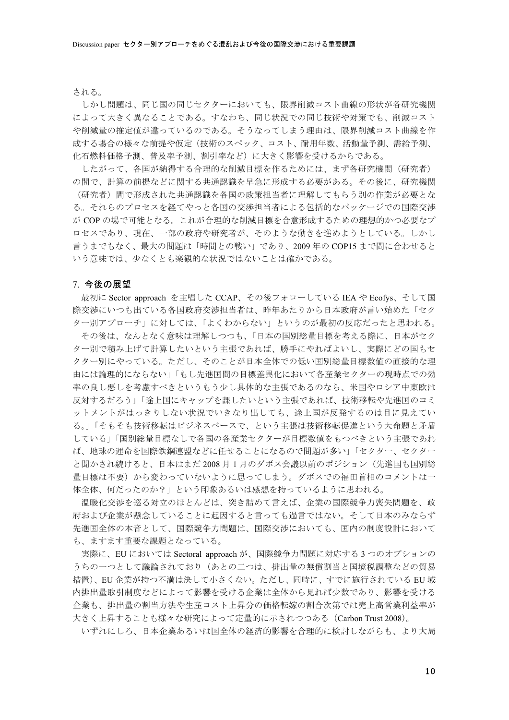される。

しかし問題は、同じ国の同じセクターにおいても、限界削減コスト曲線の形状が各研究機関 によって大きく異なることである。すなわち、同じ状況での同じ技術や対策でも、削減コスト や削減量の推定値が違っているのである。そうなってしまう理由は、限界削減コスト曲線を作 成する場合の様々な前提や仮定(技術のスペック、コスト、耐用年数、活動量予測、需給予測、 化石燃料価格予測、普及率予測、割引率など)に大きく影響を受けるからである。

したがって、各国が納得する合理的な削減目標を作るためには、まず各研究機関(研究者) の間で、計算の前提などに関する共通認識を早急に形成する必要がある。その後に、研究機関 (研究者) 間で形成された共通認識を各国の政策担当者に理解してもらう別の作業が必要とな る。それらのプロセスを経てやっと各国の交渉担当者による包括的なパッケージでの国際交渉 が COP の場で可能となる。これが合理的な削減目標を合意形成するための理想的かつ必要なプ ロセスであり、現在、一部の政府や研究者が、そのような動きを進めようとしている。しかし 言うまでもなく、最大の問題は「時間との戦い」であり、2009年の COP15 まで間に合わせると いう意味では、少なくとも楽観的な状況ではないことは確かである。

### 7. 今後の展望

最初に Sector approach を主唱した CCAP、その後フォローしている IEA や Ecofys、そして国 際交渉にいつも出ている各国政府交渉担当者は、昨年あたりから日本政府が言い始めた「セク ター別アプローチ」に対しては、「よくわからない」というのが最初の反応だったと思われる。 その後は、なんとなく意味は理解しつつも、「日本の国別総量目標を考える際に、日本がセク ター別で積み上げて計算したいという主張であれば、勝手にやればよいし、実際にどの国もセ クター別にやっている。ただし、そのことが日本全体での低い国別総量目標数値の直接的な理 由には論理的にならない」「もし先進国間の目標差異化において各産業セクターの現時点での効 率の良し悪しを考慮すべきというもう少し具体的な主張であるのなら、米国やロシア中東欧は 反対するだろう」「途上国にキャップを課したいという主張であれば、技術移転や先進国のコミ ットメントがはっきりしない状況でいきなり出しても、途上国が反発するのは目に見えてい る。」「そもそも技術移転はビジネスベースで、という主張は技術移転促進という大命題と矛盾 している」「国別総量目標なしで各国の各産業セクターが目標数値をもつべきという主張であれ ば、地球の運命を国際鉄鋼連盟などに任せることになるので問題が多い」「セクター、セクター と聞かされ続けると、日本はまだ2008月1月のダボス会議以前のポジション(先進国も国別総 量目標は不要)から変わっていないように思ってしまう。ダボスでの福田首相のコメントは一 体全体、何だったのか?」という印象あるいは感想を持っているように思われる。

温暖化交渉を巡る対立のほとんどは、突き詰めて言えば、企業の国際競争力喪失問題を、政 府および企業が懸念していることに起因すると言っても過言ではない。そして日本のみならず 先進国全体の本音として、国際競争力問題は、国際交渉においても、国内の制度設計において も、ますます重要な課題となっている。

実際に、EU においては Sectoral approach が、国際競争力問題に対応する3つのオプションの うちの一つとして議論されており(あとの二つは、排出量の無償割当と国境税調整などの貿易 措置)、EU企業が持つ不満は決して小さくない。ただし、同時に、すでに施行されている EU 域 内排出量取引制度などによって影響を受ける企業は全体から見れば少数であり、影響を受ける 企業も、排出量の割当方法や生産コスト上昇分の価格転嫁の割合次第では売上高営業利益率が 大きく上昇することも様々な研究によって定量的に示されつつある (Carbon Trust 2008)。

いずれにしろ、日本企業あるいは国全体の経済的影響を合理的に検討しながらも、より大局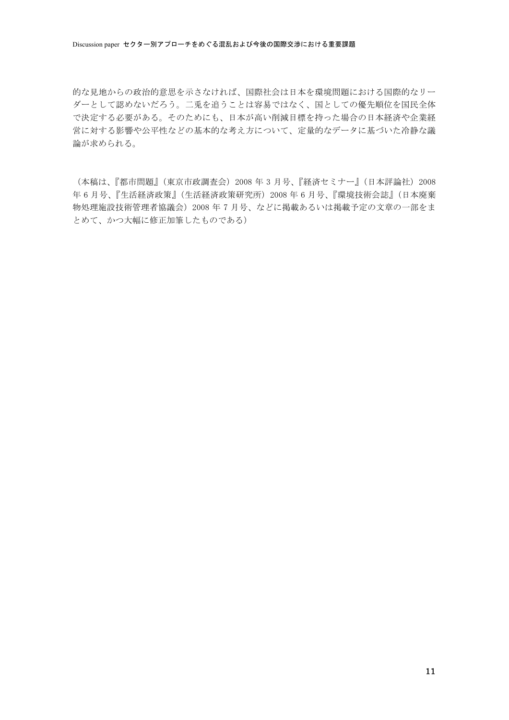的な見地からの政治的意思を示さなければ、国際社会は日本を環境問題における国際的なリー ダーとして認めないだろう。二兎を追うことは容易ではなく、国としての優先順位を国民全体 で決定する必要がある。そのためにも、日本が高い削減目標を持った場合の日本経済や企業経 営に対する影響や公平性などの基本的な考え方について、定量的なデータに基づいた冷静な議 論が求められる。

(本稿は、『都市問題』(東京市政調査会) 2008年3月号、『経済セミナー』(日本評論社) 2008 年6月号、『生活経済政策』(生活経済政策研究所) 2008年6月号、『環境技術会誌』(日本廃棄 物処理施設技術管理者協議会) 2008年7月号、などに掲載あるいは掲載予定の文章の一部をま とめて、かつ大幅に修正加筆したものである)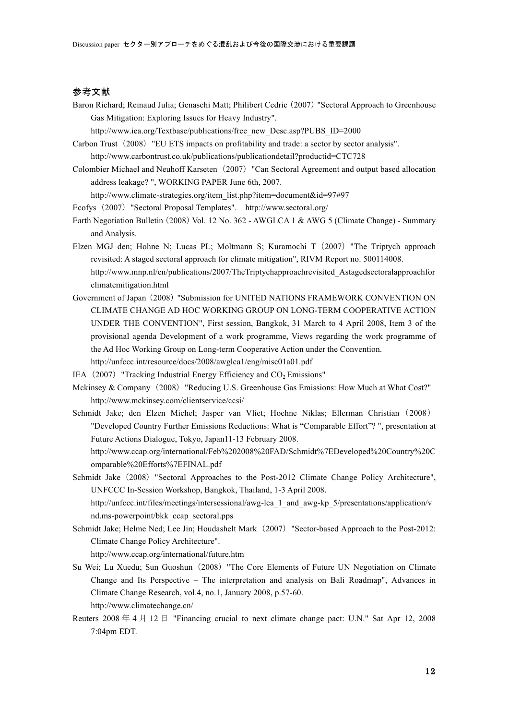### 参考文献

Baron Richard; Reinaud Julia; Genaschi Matt; Philibert Cedric (2007) "Sectoral Approach to Greenhouse Gas Mitigation: Exploring Issues for Heavy Industry".

http://www.iea.org/Textbase/publications/free\_new\_Desc.asp?PUBS\_ID=2000

- Carbon Trust (2008) "EU ETS impacts on profitability and trade: a sector by sector analysis". http://www.carbontrust.co.uk/publications/publicationdetail?productid=CTC728
- Colombier Michael and Neuhoff Karseten˙2007˚"Can Sectoral Agreement and output based allocation address leakage? ", WORKING PAPER June 6th, 2007.

http://www.climate-strategies.org/item\_list.php?item=document&id=97#97

- Ecofys (2007) "Sectoral Proposal Templates". http://www.sectoral.org/
- Earth Negotiation Bulletin (2008) Vol. 12 No. 362 AWGLCA 1 & AWG 5 (Climate Change) Summary and Analysis.
- Elzen MGJ den; Hohne N; Lucas PL; Moltmann S; Kuramochi T (2007) "The Triptych approach revisited: A staged sectoral approach for climate mitigation", RIVM Report no. 500114008. http://www.mnp.nl/en/publications/2007/TheTriptychapproachrevisited\_Astagedsectoralapproachfor climatemitigation.html
- Government of Japan (2008) "Submission for UNITED NATIONS FRAMEWORK CONVENTION ON CLIMATE CHANGE AD HOC WORKING GROUP ON LONG-TERM COOPERATIVE ACTION UNDER THE CONVENTION", First session, Bangkok, 31 March to 4 April 2008, Item 3 of the provisional agenda Development of a work programme, Views regarding the work programme of the Ad Hoc Working Group on Long-term Cooperative Action under the Convention. http://unfccc.int/resource/docs/2008/awglca1/eng/misc01a01.pdf
- IEA  $(2007)$  "Tracking Industrial Energy Efficiency and  $CO<sub>2</sub>$  Emissions"
- Mckinsey & Company (2008) "Reducing U.S. Greenhouse Gas Emissions: How Much at What Cost?" http://www.mckinsey.com/clientservice/ccsi/
- Schmidt Jake; den Elzen Michel; Jasper van Vliet; Hoehne Niklas; Ellerman Christian (2008) "Developed Country Further Emissions Reductions: What is "Comparable Effort"? ", presentation at Future Actions Dialogue, Tokyo, Japan11-13 February 2008.
	- http://www.ccap.org/international/Feb%202008%20FAD/Schmidt%7EDeveloped%20Country%20C omparable%20Efforts%7EFINAL.pdf
- Schmidt Jake (2008) "Sectoral Approaches to the Post-2012 Climate Change Policy Architecture", UNFCCC In-Session Workshop, Bangkok, Thailand, 1-3 April 2008.

http://unfccc.int/files/meetings/intersessional/awg-lca\_1\_and\_awg-kp\_5/presentations/application/v nd.ms-powerpoint/bkk\_ccap\_sectoral.pps

Schmidt Jake; Helme Ned; Lee Jin; Houdashelt Mark (2007) "Sector-based Approach to the Post-2012: Climate Change Policy Architecture".

http://www.ccap.org/international/future.htm

- Su Wei; Lu Xuedu; Sun Guoshun (2008) "The Core Elements of Future UN Negotiation on Climate Change and Its Perspective – The interpretation and analysis on Bali Roadmap", Advances in Climate Change Research, vol.4, no.1, January 2008, p.57-60. http://www.climatechange.cn/
- Reuters 2008  $\neq$  4  $\uparrow$  12  $\uparrow$  "Financing crucial to next climate change pact: U.N." Sat Apr 12, 2008 7:04pm EDT.